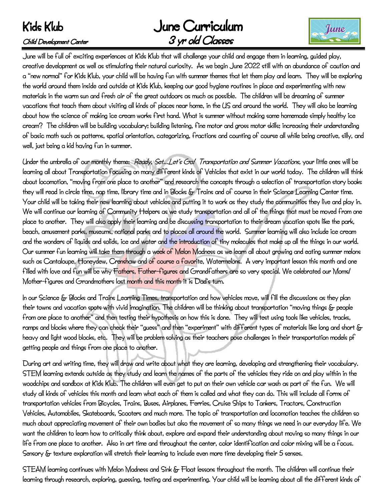# Kids Klub June Curriculum  $\mathcal C$ hild Development Center  $\mathcal S$ yr old  $\mathcal C$ lasses



June will be full of exciting experiences at Kids Klub that will challenge your child and engage them in learning, guided play, creative development as well as stimulating their natural curiosity. As we begin June 2022 still with an abundance of caution and a "new normal" for Kids Klub, your child will be having fun with summer themes that let them play and learn. They will be exploring the world around them inside and outside at Kids Klub, keeping our good hygiene routines in place and experimenting with new materials in the warm sun and fresh air of the great outdoors as much as possible. The children will be dreaming of summer vacations that teach them about visiting all kinds of places near home, in the US and around the world. They will also be learning about how the science of making ice cream works first hand. What is summer without making some homemade simply healthy ice cream? The children will be building vocabulary; building listening, fine motor and gross motor skills; increasing their understanding of basic math such as patterns, spatial orientation, categorizing, fractions and counting of course all while being creative, silly, and well, just being a kid having fun in summer.

Under the umbrella of our monthly theme: Ready, Set…Let's Go! Transportation and Summer Vacations, your little ones will be learning all about Transportation focusing on many different kinds of Vehicles that exist in our world today. The children will think about locomotion, "moving from one place to another" and research the concepts through a selection of transportation story books they will read in circle time, nap time, library time and in Blocks & Trains and of course in their Science Learning Center time. Your child will be taking their new learning about vehicles and putting it to work as they study the communities they live and play in. We will continue our learning of Community Helpers as we study transportation and all of the things that must be moved from one place to another. They will also apply their learning and be discussing transportation to their dream vacation spots like the park, beach, amusement parks, museums, national parks and to places all around the world. Summer learning will also include ice cream and the wonders of liquids and solids, ice and water and the introduction of tiny molecules that make up all the things in our world. Our summer fun learning will take them through a week of Melon Madness as we learn all about growing and eating summer melons such as Cantaloupe, Honeydew, Crenshaw and of course a favorite, Watermelons. A very important lesson this month and one filled with love and fun will be why Fathers, Father-figures and Grandfathers are so very special. We celebrated our Moms/ Mother-figures and Grandmothers last month and this month it is Dad's turn.

In our Science & Blocks and Trains Learning Times, transportation and how vehicles move, will fill the discussions as they plan their towns and vacation spots with vivid imagination. The children will be thinking about transportation "moving things & people from one place to another" and then testing their hypothesis on how this is done. They will test using tools like vehicles, tracks, ramps and blocks where they can check their "guess" and then "experiment" with different types of materials like long and short & heavy and light wood blocks, etc. They will be problem solving as their teachers pose challenges in their transportation models pf getting people and things from one place to another.

During art and writing time, they will draw and write about what they are learning, developing and strengthening their vocabulary. STEM learning extends outside as they study and learn the names of the parts of the vehicles they ride on and play within in the woodchips and sandbox at Kids Klub. The children will even get to put on their own vehicle car wash as part of the fun. We will study all kinds of vehicles this month and learn what each of them is called and what they can do. This will include all forms of transportation vehicles from Bicycles, Trains, Buses, Airplanes, Ferries, Cruise Ships to Tankers, Tractors, Construction Vehicles, Automobiles, Skateboards, Scooters and much more. The topic of transportation and locomotion teaches the children so much about appreciating movement of their own bodies but also the movement of so many things we need in our everyday life. We want the children to learn how to critically think about, explore and expand their understanding about moving so many things in our life from one place to another. Also in art time and throughout the center, color identification and color mixing will be a focus. Sensory & texture exploration will stretch their learning to include even more time developing their 5 senses.

STEAM learning continues with Melon Madness and Sink & Float lessons throughout the month. The children will continue their learning through research, exploring, guessing, testing and experimenting. Your child will be learning about all the different kinds of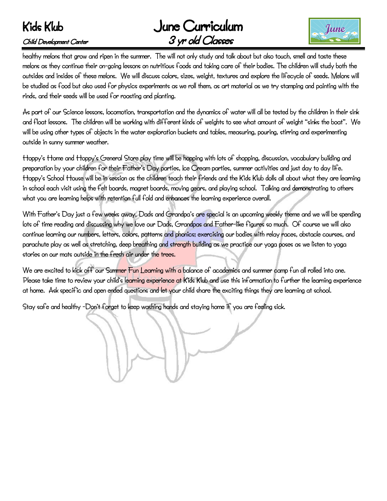# Kids Klub June Curriculum  $\mathcal C$ hild Development Center  $\mathcal S$ yr old  $\mathcal C$ lasses



healthy melons that grow and ripen in the summer. The will not only study and talk about but also touch, smell and taste these melons as they continue their on-going lessons on nutritious foods and taking care of their bodies. The children will study both the outsides and insides of these melons. We will discuss colors, sizes, weight, textures and explore the lifecycle of seeds. Melons will be studied as food but also used for physics experiments as we roll them, as art material as we try stamping and painting with the rinds, and their seeds will be used for roasting and planting.

As part of our Science lessons, locomotion, transportation and the dynamics of water will all be tested by the children in their sink and float lessons. The children will be working with different kinds of weights to see what amount of weight "sinks the boat". We will be using other types of objects in the water exploration buckets and tables, measuring, pouring, stirring and experimenting outside in sunny summer weather.

Hoppy's Home and Hoppy's General Store play time will be hopping with lots of shopping, discussion, vocabulary building and preparation by your children for their Father's Day parties, Ice Cream parties, summer activities and just day to day life. Hoppy's School House will be in session as the children teach their friends and the Kids Klub dolls all about what they are learning in school each visit using the felt boards, magnet boards, moving gears, and playing school. Talking and demonstrating to others what you are learning helps with retention full fold and enhances the learning experience overall.

With Father's Day just a few weeks away, Dads and Grandpa's are special is an upcoming weekly theme and we will be spending lots of time reading and discussing why we love our Dads, Grandpas and Father-like figures so much. Of course we will also continue learning our numbers, letters, colors, patterns and phonics; exercising our bodies with relay races, obstacle courses, and parachute play as well as stretching, deep breathing and strength building as we practice our yoga poses as we listen to yoga stories on our mats outside in the fresh air under the trees.

We are excited to kick off our Summer Fun Learning with a balance of academics and summer camp fun all rolled into one. Please take time to review your child's learning experience at Kids Klub and use this information to further the learning experience at home. Ask specific and open ended questions and let your child share the exciting things they are learning at school.

Stay safe and healthy -Don't forget to keep washing hands and staying home if you are feeling sick.

l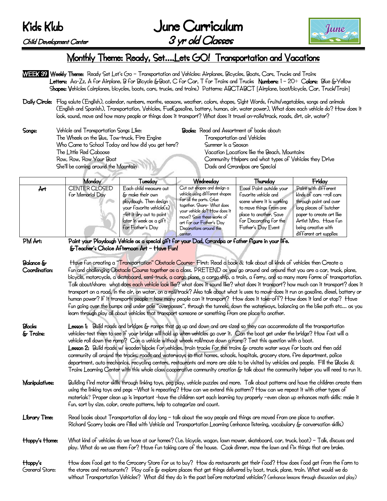## Kids Klub

Child Development Center

| June Curriculum  |  |
|------------------|--|
| 3 yr old Classes |  |



## Monthly Theme: Ready, Set….Lets GO! Transportation and Vacations

- WEEK 39 Weekly Theme: Ready Set Let's Go Transportation and Vehicles: Airplanes, Bicycles, Boats, Cars, Trucks and Trains Letters: Aa-Zz, A for Airplane, B for Bicycle &Boat, C for Car, T for Trains and Trucks Numbers: 1 – 20+ Colors: Blue &Yellow Shapes: Vehicles (airplanes, bicycles, boats, cars, trucks, and trains) Patterns: ABCTABCT [Airplane, boat/bicycle, Car, Truck/Train]
- Daily Circle: Flag salute (English), calendar, numbers, months, seasons, weather, colors, shapes, Sight Words, fruits/vegetables, songs and animals (English and Spanish), Transportation, Vehicles, Fuel(gasoline, battery, human, air, water power), What does each vehicle do? How does it look, sound, move and how many people or things does it transport? What does it travel on-rails/track, roads, dirt, air, water?
- Songs: Vehicle and Transportation Songs Like: Books: Read and Assortment of books about: The Wheels on the Bus, Tow-truck, Fire Engine Transportation and Vehicles Who Came to School Today and how did you get here? Summer is a Season The Little Red Caboose Vacation Locations like the Beach, Mountains She'll be coming around the Mountain Dads and Grandpas are Special

Row, Row, Row Your Boat Community Helpers and what types of Vehicles they Drive

|         | Monday                            | <b>Tuesday</b>                                                                                                                                                              | Wednesday                                                                                                                                                                                                                                            | Thuredav                                                                                                                                                                           | Friday                                                                                                                                                                                                     |
|---------|-----------------------------------|-----------------------------------------------------------------------------------------------------------------------------------------------------------------------------|------------------------------------------------------------------------------------------------------------------------------------------------------------------------------------------------------------------------------------------------------|------------------------------------------------------------------------------------------------------------------------------------------------------------------------------------|------------------------------------------------------------------------------------------------------------------------------------------------------------------------------------------------------------|
| Årt     | CENTER CLOSED<br>for Memorial Day | Each child measure out<br>& make their own<br>playdough. Then design<br>your favorite vehicle(s)<br>-let it dry out to paint<br>later in week as a gift<br>for Father's Day | Cut out shapes and design a<br>vehicle using different shapes<br>for all the parts. Glue<br>together. Share- What does<br>your vehicle do? How does it<br>move? Save these works of<br>art for our Father's Day<br>Decorations around the<br>center. | Easel Paint outside your<br>favorite vehicle and<br>scene where it is working<br>to move things from one<br>place to another. Saye<br>for Decorating for the<br>Father's Day Event | Paint with different<br>kinds of cars -roll cars<br>through paint and over<br>long pieces of butcher<br>paper to create art like<br>Artist Miro. Have fun<br>being creative with<br>different art supplies |
| PM Art: |                                   | & Teacher's Choice Afternoon Art - Have Fun!                                                                                                                                | Paint your Playdough Vehicle as a special gift for your Dad, Grandpa or father figure in your life.                                                                                                                                                  |                                                                                                                                                                                    |                                                                                                                                                                                                            |

Balance & Have fun creating a "Transportation" Obstacle Course- First: Read a book & talk about all kinds of vehicles then Create a Coordination: fun and challenging Obstacle Course together as a class. PRETEND as you go around and around that you are a car, truck, plane, bicycle, motorcycle, a skateboard, semi-truck, a cargo plane, a cargo ship, a train, a ferry, and so many more forms of transportation. Talk about/share: what does each vehicle look like? what does it sound like? what does it transport? how much can it transport? does it transport on a road, in the air, on water, on a rail/track? Also talk about what is uses to move-does it run on gasoline, diesel, battery or human power? If it transports people – how many people can it transport? How does it take-off? How does it land or stop? Have fun going over the bumps and under pole "overpasses", through the tunnels, down the waterways, balancing on the bike path etc… as you learn through play all about vehicles that transport someone or something from one place to another.

Blocks Lesson 1: Build roads and bridges & ramps that go up and down and are sized so they can accommodate all the transportation & Trains: vehicles-test them to see if your bridge will hold up when vehicles go over it. Can the boat get under the bridge? How fast will a vehicle roll down the ramp? Can a vehicle without wheels roll/move down a ramp? Test this question with a boat. Lesson 2: Build roads w/ wooden blocks for vehicles, train tracks for the trains & create water ways for boats and then add community all around the tracks, roads and waterways so that homes, schools, hospitals, grocery store, fire department, police department, auto mechanics, recycling centers, restaurants and more are able to be visited by vehicles and people. Fill the Blocks & Trains Learning Center with this whole class cooperative community creation & talk about the community helper you will need to run it.

Manipulatives: Building find motor skills through linking toys, peg play, vehicle puzzles and more. Talk about patterns and have the children create them using the linking toys and pegs –What is repeating? How can we extend this pattern? How can we repeat it with other types of materials? Proper clean up is important -have the children sort each learning toy properly –even clean up enhances math skills: make it fun, sort by size, color, create patterns, help to categorize and count.

Library Time: Read books about Transportation all day long – talk about the way people and things are moved from one place to another. Richard Scarry books are filled with Vehicle and Transportation Learning (enhance listening, vocabulary & conversation skills)

Hoppy's Home: What kind of vehicles do we have at our homes? (i.e. bicycle, wagon, lawn mower, skateboard, car, truck, boat) - Talk, discuss and play. What do we use them for? Have fun taking care of the house. Cook dinner, mow the lawn and fix things that are broke.

Hoppy's How does food get to the Grocery Store for us to buy? How do restaurants get their food? How does food get from the farm to General Store: the stores and restaurants? Play cafe & explore places that get things delivered by boat, truck, plane, train. What would we do without Transportation Vehicles? What did they do in the past before motorized vehicles? (enhance lessons through discussion and play)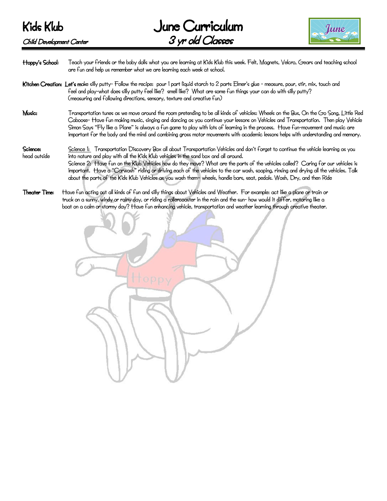

Hoppy's School: Teach your friends or the baby dolls what you are learning at Kids Klub this week. Felt, Magnets, Velcro, Gears and teaching school are fun and help us remember what we are learning each week at school.

- Kitchen Creation: Let's make silly putty- Follow the recipe: pour 1 part liquid starch to 2 parts Elmer's glue measure, pour, stir, mix, touch and feel and play-what does silly putty feel like? smell like? What are some fun things your can do with silly putty? (measuring and following directions, sensory, texture and creative fun)
- Music: Transportation tunes as we move around the room pretending to be all kinds of vehicles: Wheels on the Bus, On the Go Song, Little Red Caboose- Have fun making music, singing and dancing as you continue your lessons on Vehicles and Transportation. Then play Vehicle Simon Says "Fly like a Plane" is always a fun game to play with lots of learning in the process. Have fun-movement and music are important for the body and the mind and combining gross motor movements with academic lessons helps with understanding and memory.
- Science: Science 1: Transportation Discovery Box all about Transportation Vehicles and don't forget to continue the vehicle learning as you head outside into nature and play with all the Kids Klub vehicles in the sand box and all around. Science 2: Have fun on the Klub Vehicles how do they move? What are the parts of the vehicles called? Caring for our vehicles is important. Have a "Carwash" riding or driving each of the vehicles to the car wash, soaping, rinsing and drying all the vehicles. Talk about the parts of the Kids Klub Vehicles as you wash them– wheels, handle bars, seat, pedals. Wash, Dry, and then Ride
- Theater Time: Have fun acting out all kinds of fun and silly things about Vehicles and Weather. For example: act like a plane or train or truck on a sunny, windy or rainy day, or riding a rollercoaster in the rain and the sun- how would it differ, motoring like a boat on a calm or stormy day? Have fun enhancing vehicle, transportation and weather learning through creative theater.

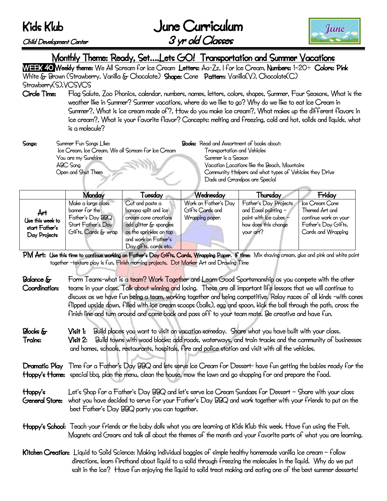Kids Klub

Child Development Center

| June Curriculum  |  |
|------------------|--|
| 3 yr old Classes |  |



# Monthly Theme: Ready, Set....Lets GO! Transportation and Summer Vacations<br>WEEK 40 Weekly theme: We All Scream for Ice Cream Letters: Aa-Zz, I for Ice Cream, Numbers: 1–20+ Colors: Pink

White & Brown (Strawberry, Vanilla & Chocolate) Shape: Cone Pattern: Vanilla(V), Chocolate(C) Strawberry(S), YCSVCS

Circle Time: Flag Salute, Zoo Phonics, calendar, numbers, names, letters, colors, shapes, Summer, Four Seasons, What is the weather like in Summer? Summer vacations, where do we like to go? Why do we like to eat Ice Cream in Summer?, What is ice cream made of?, How do you make ice cream?, What makes up the different flavors in ice cream?, What is your favorite flavor? Concepts: melting and freezing, cold and hot, solids and liquids, what

is a molecule?<br>Summer Fun Sonas Like: Songs: Summer Fun Songs Like: Books: Read and Assortment of books about: Ice Cream, Ice Cream, We all Scream for Ice Cream Transportation and Vehicles You are my Sunshine Summer is a Season ABC Song Vacation Locations like the Beach, Mountains

Open and Shut Them Community Helpers and what types of Vehicles they Drive Dads and Grandpas are Special

|                                                           | Monday                                                                                                | Fuesday                                                                                                                                                               | Wednesday                                                  | Thursday                                                                                                       | Friday                                                                                                 |
|-----------------------------------------------------------|-------------------------------------------------------------------------------------------------------|-----------------------------------------------------------------------------------------------------------------------------------------------------------------------|------------------------------------------------------------|----------------------------------------------------------------------------------------------------------------|--------------------------------------------------------------------------------------------------------|
| Årt<br>Use this week to<br>start Father's<br>Day Projects | Make a large class<br>banner for the<br>Father's Day BBQ<br>Start Father's Day<br>Gifts, Cards & wrap | Cut and paste a<br>banana split and ice<br>cream cone creations<br>add glitter & spangles<br>as the sprinkles on top<br>and work on Father's<br>Day gifts, cards etc. | Work on Father's Day<br>Gifts Cards and<br>Wrapping paper. | Father's Day Projects<br>and Easel painting -<br>paint with ice cubes $-$<br>how does this change<br>your art? | Ice Cream Cone<br>Themed Art and<br>continue work on your<br>Father's Day Gifts,<br>Cards and Wrapping |

PM Art: Use this time to continue working on Father's Day Gifts, Cards, Wrapping Paper. If time: Mix shaving cream, glue and pink and white paint together -texture play is fun. Finish morning projects. Dot Marker Art and Drawing Time

Balance  $\delta$  Form Teams-what is a team? Work Together and Learn Good Sportsmanship as you compete with the other Coordination: teams in your class. Talk about winning and losing. These are all important life lessons that we will continue to discuss as we have fun being a team, working together and being competitive. Relay races of all kinds -with cones flipped upside down, filled with ice cream scoops (balls), egg and spoon, kick the ball through the path, cross the finish line and turn around and come back and pass off to your team mate. Be creative and have fun.

Blocks & Visit 1: Build places you want to visit on vacation someday. Share what you have built with your class. Trains: Visit 2: Build towns with wood blocks; add roads, waterways, and train tracks and the community of businesses and homes, schools, restaurants, hospitals, fire and police station and visit with all the vehicles.

Dramatic Play Time for a Father's Day BBQ and lets serve Ice Cream for Dessert- have fun getting the babies ready for the Hoppy's Home: special bbq, plan the menu, clean the house, mow the lawn and go shopping for and prepare the food.

- Hoppy's Let's Shop for a Father's Day BBQ and let's serve Ice Cream Sundaes for Dessert Share with your class General Store: what you have decided to serve for your Father's Day BBQ and work together with your friends to put on the best Father's Day BBQ party you can together.
- Hoppy's School: Teach your friends or the baby dolls what you are learning at Kids Klub this week. Have fun using the Felt, Magnets and Gears and talk all about the themes of the month and your favorite parts of what you are learning.
- Kitchen Creation: Liquid to Solid Science: Making individual baggies of simple healthy homemade vanilla ice cream follow directions, learn firsthand about liquid to a solid through freezing the molecules in the liquid. Why do we put salt in the ice? Have fun enjoying the liquid to solid treat making and eating one of the best summer desserts!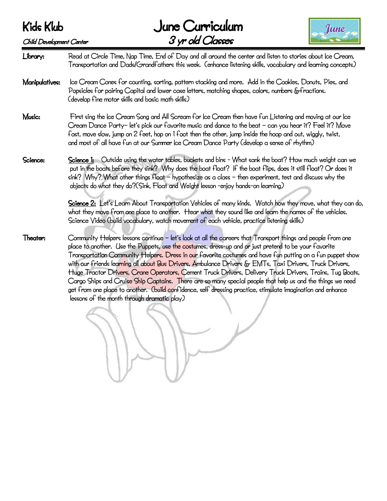

Library: Read at Circle Time, Nap Time, End of Day and all around the center and listen to stories about Ice Cream, Transportation and Dads/Grandfathers this week. (enhance listening skills, vocabulary and learning concepts) Manipulatives: Ice Cream Cones for counting, sorting, pattern stacking and more. Add in the Cookies, Donuts, Pies, and Popsicles for pairing Capital and lower case letters, matching shapes, colors, numbers &fractions. (develop fine motor skills and basic math skills) Music: First sing the Ice Cream Song and All Scream for Ice Cream then have fun Listening and moving at our Ice Cream Dance Party– let's pick our favorite music and dance to the beat – can you hear it? Feel it? Move fast, move slow, jump on 2 feet, hop on 1 foot then the other, jump inside the hoop and out, wiggly, twist, and most of all have fun at our Summer Ice Cream Dance Party (develop a sense of rhythm) Science: Science 1: Outside using the water tables, buckets and bins - What sank the boat? How much weight can we put in the boats before they sink? Why does the boat float? If the boat flips, does it still float? Or does it

objects do what they do?(Sink, Float and Weight lesson -enjoy hands-on learning)

Science 2: Let's Learn About Transportation Vehicles of many kinds. Watch how they move, what they can do, what they move from one place to another. Hear what they sound like and learn the names of the vehicles. Science Video (build vocabulary, watch movement of each vehicle, practice listening skills)

sink? Why? What other things float – hypothesize as a class – then experiment, test and discuss why the

Theater: Community Helpers lessons continue – let's look at all the careers that Transport things and people from one place to another. Use the Puppets, use the costumes, dress-up and or just pretend to be your favorite Transportation Community Helpers. Dress in our favorite costumes and have fun putting on a fun puppet show with our friends learning all about Bus Drivers, Ambulance Drivers & EMTs, Taxi Drivers, Truck Drivers, Huge Tractor Drivers, Crane Operators, Cement Truck Drivers, Delivery Truck Drivers, Trains, Tug Boats, Cargo Ships and Cruise Ship Captains. There are so many special people that help us and the things we need get from one place to another. (build confidence, self dressing practice, stimulate imagination and enhance lessons of the month through dramatic play)

l<br>K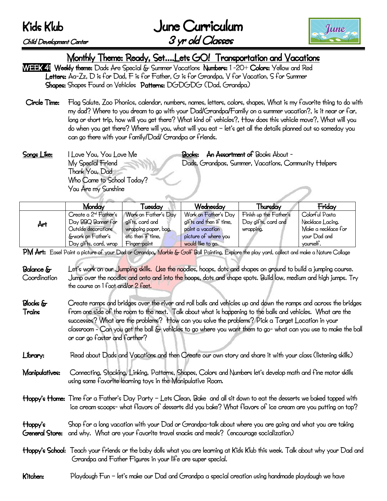Kids Klub

| June Curriculum  |
|------------------|
| 3 yr old Classes |



### Child Development Center

Monthly Theme: Ready, Set....Lets GO! Transportation and Vacations<br>WEEK 41 Weekly theme: Dads Are Special & Summer Vacations Numbers: 1 -20+ Colors: Yellow and Red

 Letters: Aa-Zz, D is for Dad, F is for Father, G is for Grandpa, V for Vacation, S for Summer Shapes: Shapes Found on Vehicles Patterns: DGDGDG (Dad, Grandpa):

- Circle Time: Flag Salute, Zoo Phonics, calendar, numbers, names, letters, colors, shapes, What is my favorite thing to do with my dad? Where to you dream to go with your Dad/Grandpa/Family on a summer vacation?, is it near or far, long or short trip, how will you get there? What kind of vehicles?, How does this vehicle move?, What will you do when you get there? Where will you, what will you eat – let's get all the details planned out so someday you can go there with your family/Dad/ Grandpa or friends.
- Songs Like: I Love You, You Love Me Books: An Assortment of Books About My Special Friend Dads, Grandpas, Summer, Vacations, Community Helpers Thank You, Dad Who Came to School Today? You Are my Sunshine

|     | Monday                            | `uesday              | Wednesday               | Thursday               | Friday              |  |
|-----|-----------------------------------|----------------------|-------------------------|------------------------|---------------------|--|
|     | Create a 2 <sup>nd</sup> Father's | Work on Father's Day | Work on Father's Day    | Finish up the Father's | Colorful Pasta      |  |
| Årt | Day BBQ Banner for                | gifts, card and      | gifts and then if time, | Day gifts, card and    | Necklace Lacing.    |  |
|     | Outside decorations               | wrapping paper, bag, | paint a yacation        | wrapping.              | Make a necklace for |  |
|     | &work on Father's                 | etc then if time,    | picture of where you    |                        | your Dad and        |  |
|     | Day gifts, card, wrap             | Finger-paint         | would like to go.       |                        | yourself.           |  |

PM Art: Easel Paint a picture of your Dad or Grandpa, Marble & Golf Ball Painting, Explore the play yard, collect and make a Nature Collage

- Balance & Let's work on our Jumping skills. Use the noodles, hoops, dots and shapes on ground to build a jumping course. Coordination Jump over the noodles and onto and into the hoops, dots and shape spots. Build low, medium and high jumps. Try the course on 1 foot and/or 2 feet.
- Blocks  $\&$  Create ramps and bridges over the river and roll balls and vehicles up and down the ramps and across the bridges Trains from one side of the room to the next. Talk about what is happening to the balls and vehicles. What are the successes? What are the problems? How can you solve the problems? Pick a Target Location in your classroom - Can you get the ball & vehicles to go where you want them to go- what can you use to make the ball or car go faster and farther?
- Library: Read about Dads and Vacations and then Create our own story and share it with your class (listening skills)
- Manipulatives: Connecting, Stacking, Linking, Patterns, Shapes, Colors and Numbers let's develop math and fine motor skills using some favorite learning toys in the Manipulative Room.
- Hoppy's Home: Time for a Father's Day Party Lets Clean, Bake and all sit down to eat the desserts we baked topped with ice cream scoops- what flavors of desserts did you bake? What flavors of ice cream are you putting on top?
- Hoppy's Shop for a long vacation with your Dad or Grandpa-talk about where you are going and what you are taking General Store: and why. What are your favorite travel snacks and meals? (encourage socialization)
- Hoppy's School: Teach your friends or the baby dolls what you are learning at Kids Klub this week. Talk about why your Dad and Grandpa and Father Figures in your life are super special.

## Kitchen: Playdough Fun – let's make our Dad and Grandpa a special creation using handmade playdough we have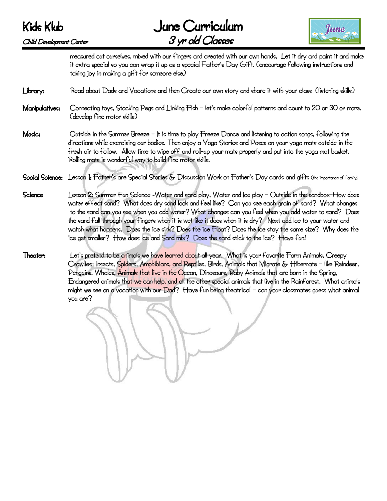



measured out ourselves, mixed with our fingers and created with our own hands, Let it dry and paint it and make it extra special so you can wrap it up as a special Father's Day Gift. (encourage following instructions and taking joy in making a gift for someone else)

### Library: Read about Dads and Vacations and then Create our own story and share it with your class (listening skills)

- Manipulatives: Connecting toys, Stacking Pegs and Linking Fish let's make colorful patterns and count to 20 or 30 or more. (develop fine motor skills)
- **Music:**  $Q$ utside in the Summer Breeze It is time to play Freeze Dance and listening to action songs, following the directions while exercising our bodies. Then enjoy a Yoga Stories and Poses on your yoga mats outside in the fresh air to follow. Allow time to wipe off and roll-up your mats properly and put into the yoga mat basket. Rolling mats is wonderful way to build fine motor skills.
- Social Science: Lesson 1: Father's are Special Stories & Discussion Work on Father's Day cards and gifts (the importance of family)
- Science Lesson 2: Summer Fun Science -Water and sand play, Water and Ice play Outside in the sandbox-How does water effect sand? What does dry sand look and feel like? Can you see each grain of sand? What changes to the sand can you see when you add water? What changes can you feel when you add water to sand? Does the sand fall through your fingers when it is wet like it does when it is dry? Next add Ice to your water and watch what happens. Does the ice sink? Does the ice Float? Does the ice stay the same size? Why does the ice get smaller? How does Ice and Sand mix? Does the sand stick to the ice? Have fun!
- Theater: Let's pretend to be animals we have learned about all year. What is your favorite Farm Animals, Creepy Crawlies- Insects, Spiders, Amphibians, and Reptiles, Birds, Animals that Migrate & Hibernate – like Reindeer, Penguins, Whales, Animals that live in the Ocean, Dinosaurs, Baby Animals that are born in the Spring, Endangered animals that we can help, and all the other special animals that live in the Rainforest. What animals might we see on a vacation with our Dad? Have fun being theatrical – can your classmates guess what animal you are?

i.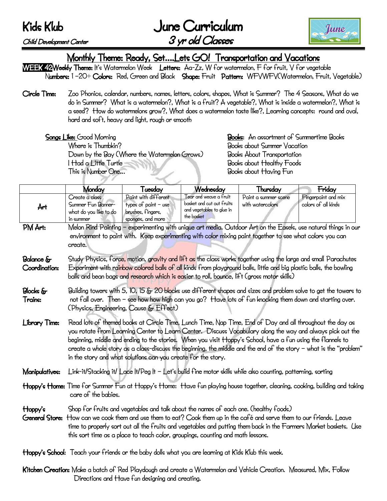Kids Klub June Curriculum Child Development Center 3 yr old Classes



Monthly Theme: Ready, Set....Lets GO! Transportation and Vacations<br>WEEK 42Weekly Theme: It's Watermelon Week Letters: Aa-Zz, W for watermelon, F for fruit, V for vegetable Numbers: 1 –20+ Colors: Red, Green and Black Shape: Fruit Pattern: WFVWFV(Watermelon, Fruit, Vegetable)

Circle Time: Zoo Phonics, calendar, numbers, names, letters, colors, shapes, What is Summer? The 4 Seasons, What do we do in Summer? What is a watermelon?, What is a fruit? A vegetable?, What is inside a watermelon?, What is a seed? How do watermelons grow?, What does a watermelon taste like?, Learning concepts: round and oval, hard and soft, heavy and light, rough or smooth

 Where is Thumbkin? Books about Summer Vacation Down by the Bay (Where the Watermelon Grows) Books About Transportation I Had a Little Turtle **The Contract of Turns** Books about Healthy Foods This is Number One… Books about Having Fun

Songs Like: Good Morning **Books: An assortment of Summertime Books:** 

|                                   | Monday                                                                                                                                                                                                                                                                                                                                                                                                                                                                                                                       | Tuesday                                                                                  | Wednesday                                                                                                                                                               | Thursday                                                                                                     | Friday                                                                                                           |  |
|-----------------------------------|------------------------------------------------------------------------------------------------------------------------------------------------------------------------------------------------------------------------------------------------------------------------------------------------------------------------------------------------------------------------------------------------------------------------------------------------------------------------------------------------------------------------------|------------------------------------------------------------------------------------------|-------------------------------------------------------------------------------------------------------------------------------------------------------------------------|--------------------------------------------------------------------------------------------------------------|------------------------------------------------------------------------------------------------------------------|--|
| Årt                               | Create a class<br>Summer Fun Banner-<br>what do you like to do<br>in summer                                                                                                                                                                                                                                                                                                                                                                                                                                                  | Paint with different<br>types of paint $-$ use<br>brushes, fingers,<br>sponges, and more | Tear and weave a fruit<br>basket and cut out fruits<br>and vegetables to glue in<br>the basket                                                                          | Paint a summer scene<br>with watercolors                                                                     | Fingerpaint and mix<br>colors of all kinds                                                                       |  |
| PM Art:                           | create.                                                                                                                                                                                                                                                                                                                                                                                                                                                                                                                      |                                                                                          |                                                                                                                                                                         | environment to paint with. Keep experimenting with color mixing paint together to see what colors you can    | Melon Rind Painting – experimenting with unique art media. Outdoor Art on the Easels, use natural things in our  |  |
| <b>Balance</b> &<br>Coordination: | Study Physics, force, motion, gravity and lift as the class works together using the large and small Parachutes<br>Experiment with rainbow colored balls of all kinds from playground balls, little and big plastic balls, the bowling<br>balls and bean bags and research which is easier to roll, bounce, lift (gross motor skills)                                                                                                                                                                                        |                                                                                          |                                                                                                                                                                         |                                                                                                              |                                                                                                                  |  |
| <b>Blocks</b> &<br>Trains:        | Building towers with 5, 10, 15 & 20 blocks use different shapes and sizes and problem solve to get the towers to<br>not fall over. Then - see how how high can you go? Have lots of fun knocking them down and starting over.<br>(Physics, Engineering, Cause & Effect)                                                                                                                                                                                                                                                      |                                                                                          |                                                                                                                                                                         |                                                                                                              |                                                                                                                  |  |
| <b>Library Time:</b>              | Read lots of themed books at Circle Time, Lunch Time, Nap Time, End of Day and all throughout the day as<br>you rotate from Learning Center to Learn Center. Discuss Vocabulary along the way and always pick out the<br>beginning, middle and ending to the stories. When you visit Hoppy's School, have a fun using the flannels to<br>create a whole story as a class-discuss the beginning, the middle and the end of the story – what is the "problem"<br>in the story and what solutions can you create for the story. |                                                                                          |                                                                                                                                                                         |                                                                                                              |                                                                                                                  |  |
| Manipulatives:                    |                                                                                                                                                                                                                                                                                                                                                                                                                                                                                                                              |                                                                                          |                                                                                                                                                                         | Link-it/Stacking it/ Lace It/Peg It - Let's build fine motor skills while also counting, patterning, sorting |                                                                                                                  |  |
|                                   | Hoppy's Home: Time for Summer Fun at Hoppy's Home: Have fun playing house together, cleaning, cooking, building and taking<br>care of the babies.                                                                                                                                                                                                                                                                                                                                                                            |                                                                                          |                                                                                                                                                                         |                                                                                                              |                                                                                                                  |  |
| Hoppy's<br>General Store:         |                                                                                                                                                                                                                                                                                                                                                                                                                                                                                                                              |                                                                                          | Shop for fruits and vegetables and talk about the names of each one. (healthy foods)<br>this sort time as a place to teach color, groupings, counting and math lessons. | How can we cook them and use them to eat? Cook them up in the café and serve them to our friends. Leave      | time to properly sort out all the fruits and vegetables and putting them back in the Farmers Market baskets. Use |  |
|                                   |                                                                                                                                                                                                                                                                                                                                                                                                                                                                                                                              |                                                                                          | Hoppy's School: Teach your friends or the baby dolls what you are learning at Kids Klub this week.                                                                      |                                                                                                              |                                                                                                                  |  |

Kitchen Creation: Make a batch of Red Playdough and create a Watermelon and Vehicle Creation. Measured, Mix, Follow Directions and Have fun designing and creating.